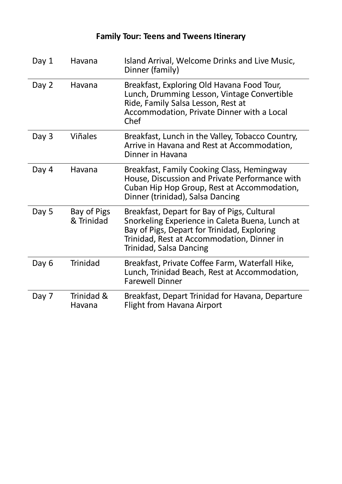| Day 1 | Havana                    | Island Arrival, Welcome Drinks and Live Music,<br>Dinner (family)                                                                                                                                                      |
|-------|---------------------------|------------------------------------------------------------------------------------------------------------------------------------------------------------------------------------------------------------------------|
| Day 2 | Havana                    | Breakfast, Exploring Old Havana Food Tour,<br>Lunch, Drumming Lesson, Vintage Convertible<br>Ride, Family Salsa Lesson, Rest at<br>Accommodation, Private Dinner with a Local<br>Chef                                  |
| Day 3 | <b>Viñales</b>            | Breakfast, Lunch in the Valley, Tobacco Country,<br>Arrive in Havana and Rest at Accommodation,<br>Dinner in Havana                                                                                                    |
| Day 4 | Havana                    | Breakfast, Family Cooking Class, Hemingway<br>House, Discussion and Private Performance with<br>Cuban Hip Hop Group, Rest at Accommodation,<br>Dinner (trinidad), Salsa Dancing                                        |
| Day 5 | Bay of Pigs<br>& Trinidad | Breakfast, Depart for Bay of Pigs, Cultural<br>Snorkeling Experience in Caleta Buena, Lunch at<br>Bay of Pigs, Depart for Trinidad, Exploring<br>Trinidad, Rest at Accommodation, Dinner in<br>Trinidad, Salsa Dancing |
| Day 6 | <b>Trinidad</b>           | Breakfast, Private Coffee Farm, Waterfall Hike,<br>Lunch, Trinidad Beach, Rest at Accommodation,<br><b>Farewell Dinner</b>                                                                                             |
| Day 7 | Trinidad &<br>Havana      | Breakfast, Depart Trinidad for Havana, Departure<br><b>Flight from Havana Airport</b>                                                                                                                                  |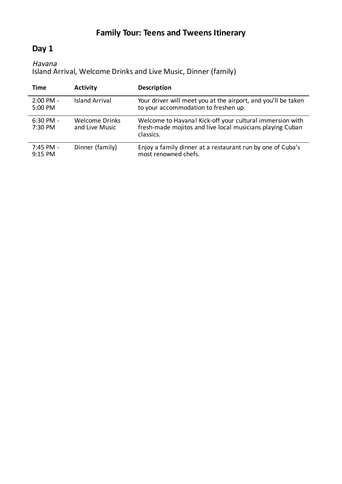# **Day 1**

### Havana

Island Arrival, Welcome Drinks and Live Music, Dinner (family)

| Time                             | <b>Activity</b>                  | <b>Description</b>                                                                                                                 |
|----------------------------------|----------------------------------|------------------------------------------------------------------------------------------------------------------------------------|
| $2:00 \text{ PM} -$<br>5:00 PM   | <b>Island Arrival</b>            | Your driver will meet you at the airport, and you'll be taken<br>to your accommodation to freshen up.                              |
| $6:30$ PM -<br>$7:30 \text{ PM}$ | Welcome Drinks<br>and Live Music | Welcome to Havana! Kick-off your cultural immersion with<br>fresh-made mojitos and live local musicians playing Cuban<br>classics. |
| 7:45 PM -<br>$9:15$ PM           | Dinner (family)                  | Enjoy a family dinner at a restaurant run by one of Cuba's<br>most renowned chefs.                                                 |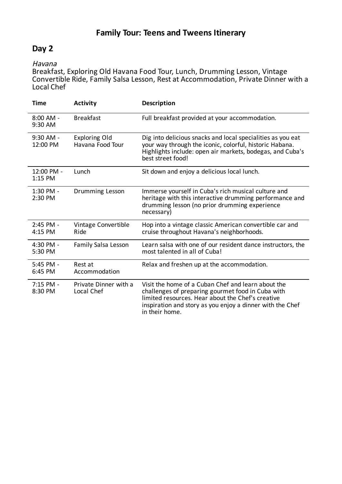## **Day 2**

#### Havana

Breakfast, Exploring Old Havana Food Tour, Lunch, Drumming Lesson, Vintage Convertible Ride, Family Salsa Lesson, Rest at Accommodation, Private Dinner with a Local Chef

| <b>Time</b>             | <b>Activity</b>                          | Description                                                                                                                                                                                                                                 |
|-------------------------|------------------------------------------|---------------------------------------------------------------------------------------------------------------------------------------------------------------------------------------------------------------------------------------------|
| $8:00$ AM -<br>9:30 AM  | <b>Breakfast</b>                         | Full breakfast provided at your accommodation.                                                                                                                                                                                              |
| $9:30$ AM -<br>12:00 PM | <b>Exploring Old</b><br>Havana Food Tour | Dig into delicious snacks and local specialities as you eat<br>your way through the iconic, colorful, historic Habana.<br>Highlights include: open air markets, bodegas, and Cuba's<br>best street food!                                    |
| 12:00 PM -<br>1:15 PM   | Lunch                                    | Sit down and enjoy a delicious local lunch.                                                                                                                                                                                                 |
| 1:30 PM -<br>2:30 PM    | Drumming Lesson                          | Immerse yourself in Cuba's rich musical culture and<br>heritage with this interactive drumming performance and<br>drumming lesson (no prior drumming experience<br>necessary)                                                               |
| 2:45 PM -<br>4:15 PM    | Vintage Convertible<br>Ride              | Hop into a vintage classic American convertible car and<br>cruise throughout Havana's neighborhoods.                                                                                                                                        |
| 4:30 PM -<br>5:30 PM    | <b>Family Salsa Lesson</b>               | Learn salsa with one of our resident dance instructors, the<br>most talented in all of Cuba!                                                                                                                                                |
| 5:45 PM -<br>6:45 PM    | Rest at<br>Accommodation                 | Relax and freshen up at the accommodation.                                                                                                                                                                                                  |
| $7:15$ PM -<br>8:30 PM  | Private Dinner with a<br>Local Chef      | Visit the home of a Cuban Chef and learn about the<br>challenges of preparing gourmet food in Cuba with<br>limited resources. Hear about the Chef's creative<br>inspiration and story as you enjoy a dinner with the Chef<br>in their home. |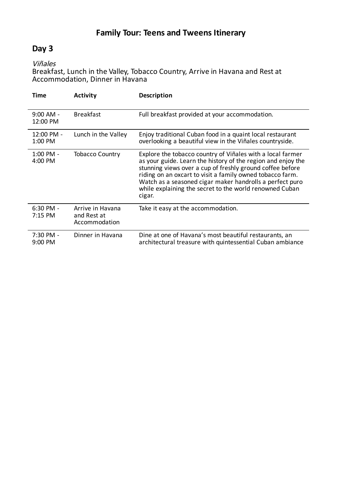## **Day 3**

Viñales

Breakfast, Lunch in the Valley, Tobacco Country, Arrive in Havana and Rest at Accommodation, Dinner in Havana

| Time                    | <b>Activity</b>                                  | <b>Description</b>                                                                                                                                                                                                                                                                                                                                                                    |
|-------------------------|--------------------------------------------------|---------------------------------------------------------------------------------------------------------------------------------------------------------------------------------------------------------------------------------------------------------------------------------------------------------------------------------------------------------------------------------------|
| $9:00$ AM -<br>12:00 PM | <b>Breakfast</b>                                 | Full breakfast provided at your accommodation.                                                                                                                                                                                                                                                                                                                                        |
| 12:00 PM -<br>1:00 PM   | Lunch in the Valley                              | Enjoy traditional Cuban food in a quaint local restaurant<br>overlooking a beautiful view in the Viñales countryside.                                                                                                                                                                                                                                                                 |
| $1:00$ PM -<br>4:00 PM  | <b>Tobacco Country</b>                           | Explore the tobacco country of Viñales with a local farmer<br>as your guide. Learn the history of the region and enjoy the<br>stunning views over a cup of freshly ground coffee before<br>riding on an oxcart to visit a family owned tobacco farm.<br>Watch as a seasoned cigar maker handrolls a perfect puro<br>while explaining the secret to the world renowned Cuban<br>cigar. |
| $6:30$ PM -<br>7:15 PM  | Arrive in Havana<br>and Rest at<br>Accommodation | Take it easy at the accommodation.                                                                                                                                                                                                                                                                                                                                                    |
| 7:30 PM -<br>$9:00$ PM  | Dinner in Havana                                 | Dine at one of Havana's most beautiful restaurants, an<br>architectural treasure with quintessential Cuban ambiance                                                                                                                                                                                                                                                                   |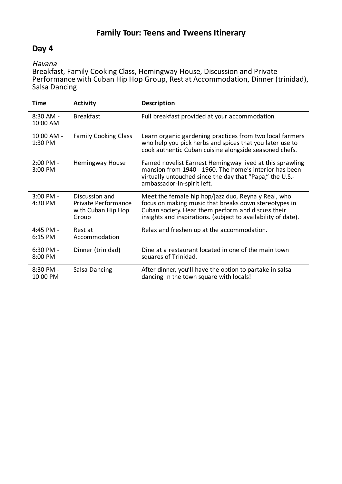# **Day 4**

#### Havana

Breakfast, Family Cooking Class, Hemingway House, Discussion and Private Performance with Cuban Hip Hop Group, Rest at Accommodation, Dinner (trinidad), Salsa Dancing

| <b>Time</b>            | <b>Activity</b>                                                      | <b>Description</b>                                                                                                                                                                                                                  |
|------------------------|----------------------------------------------------------------------|-------------------------------------------------------------------------------------------------------------------------------------------------------------------------------------------------------------------------------------|
| 8:30 AM -<br>10:00 AM  | <b>Breakfast</b>                                                     | Full breakfast provided at your accommodation.                                                                                                                                                                                      |
| 10:00 AM -<br>1:30 PM  | <b>Family Cooking Class</b>                                          | Learn organic gardening practices from two local farmers<br>who help you pick herbs and spices that you later use to<br>cook authentic Cuban cuisine alongside seasoned chefs.                                                      |
| $2:00$ PM -<br>3:00 PM | Hemingway House                                                      | Famed novelist Earnest Hemingway lived at this sprawling<br>mansion from 1940 - 1960. The home's interior has been<br>virtually untouched since the day that "Papa," the U.S.-<br>ambassador-in-spirit left.                        |
| 3:00 PM -<br>4:30 PM   | Discussion and<br>Private Performance<br>with Cuban Hip Hop<br>Group | Meet the female hip hop/jazz duo, Reyna y Real, who<br>focus on making music that breaks down stereotypes in<br>Cuban society. Hear them perform and discuss their<br>insights and inspirations. (subject to availability of date). |
| 4:45 PM -<br>6:15 PM   | Rest at<br>Accommodation                                             | Relax and freshen up at the accommodation.                                                                                                                                                                                          |
| 6:30 PM -<br>8:00 PM   | Dinner (trinidad)                                                    | Dine at a restaurant located in one of the main town<br>squares of Trinidad.                                                                                                                                                        |
| 8:30 PM -<br>10:00 PM  | Salsa Dancing                                                        | After dinner, you'll have the option to partake in salsa<br>dancing in the town square with locals!                                                                                                                                 |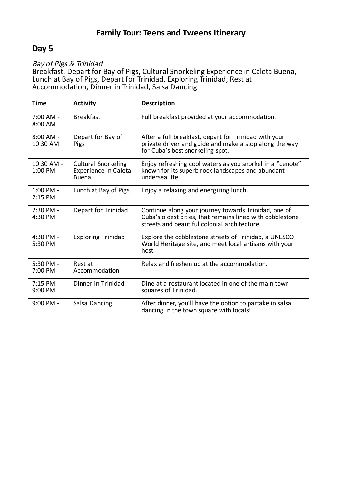### **Day 5**

#### Bay of Pigs & Trinidad

Breakfast, Depart for Bay of Pigs, Cultural Snorkeling Experience in Caleta Buena, Lunch at Bay of Pigs, Depart for Trinidad, Exploring Trinidad, Rest at Accommodation, Dinner in Trinidad, Salsa Dancing

| <b>Time</b>            | <b>Activity</b>                                                           | <b>Description</b>                                                                                                                                                |
|------------------------|---------------------------------------------------------------------------|-------------------------------------------------------------------------------------------------------------------------------------------------------------------|
| $7:00$ AM -<br>8:00 AM | <b>Breakfast</b>                                                          | Full breakfast provided at your accommodation.                                                                                                                    |
| 8:00 AM -<br>10:30 AM  | Depart for Bay of<br>Pigs                                                 | After a full breakfast, depart for Trinidad with your<br>private driver and guide and make a stop along the way<br>for Cuba's best snorkeling spot.               |
| 10:30 AM -<br>1:00 PM  | <b>Cultural Snorkeling</b><br><b>Experience in Caleta</b><br><b>Buena</b> | Enjoy refreshing cool waters as you snorkel in a "cenote"<br>known for its superb rock landscapes and abundant<br>undersea life.                                  |
| 1:00 PM -<br>2:15 PM   | Lunch at Bay of Pigs                                                      | Enjoy a relaxing and energizing lunch.                                                                                                                            |
| 2:30 PM -<br>4:30 PM   | Depart for Trinidad                                                       | Continue along your journey towards Trinidad, one of<br>Cuba's oldest cities, that remains lined with cobblestone<br>streets and beautiful colonial architecture. |
| 4:30 PM -<br>5:30 PM   | <b>Exploring Trinidad</b>                                                 | Explore the cobblestone streets of Trinidad, a UNESCO<br>World Heritage site, and meet local artisans with your<br>host.                                          |
| 5:30 PM -<br>7:00 PM   | Rest at<br>Accommodation                                                  | Relax and freshen up at the accommodation.                                                                                                                        |
| 7:15 PM -<br>9:00 PM   | Dinner in Trinidad                                                        | Dine at a restaurant located in one of the main town<br>squares of Trinidad.                                                                                      |
| 9:00 PM -              | Salsa Dancing                                                             | After dinner, you'll have the option to partake in salsa<br>dancing in the town square with locals!                                                               |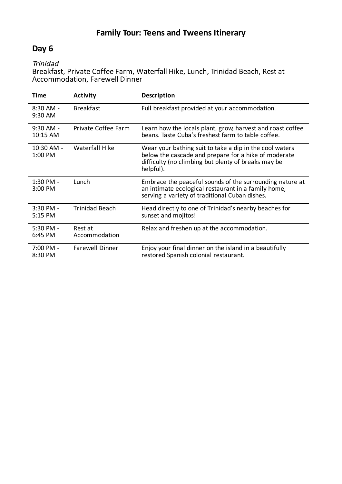## **Day 6**

Trinidad

Breakfast, Private Coffee Farm, Waterfall Hike, Lunch, Trinidad Beach, Rest at Accommodation, Farewell Dinner

| Time                    | <b>Activity</b>          | <b>Description</b>                                                                                                                                                                  |
|-------------------------|--------------------------|-------------------------------------------------------------------------------------------------------------------------------------------------------------------------------------|
| 8:30 AM -<br>9:30 AM    | <b>Breakfast</b>         | Full breakfast provided at your accommodation.                                                                                                                                      |
| $9:30$ AM -<br>10:15 AM | Private Coffee Farm      | Learn how the locals plant, grow, harvest and roast coffee<br>beans. Taste Cuba's freshest farm to table coffee.                                                                    |
| 10:30 AM -<br>1:00 PM   | Waterfall Hike           | Wear your bathing suit to take a dip in the cool waters<br>below the cascade and prepare for a hike of moderate<br>difficulty (no climbing but plenty of breaks may be<br>helpful). |
| 1:30 PM -<br>3:00 PM    | Lunch                    | Embrace the peaceful sounds of the surrounding nature at<br>an intimate ecological restaurant in a family home,<br>serving a variety of traditional Cuban dishes.                   |
| 3:30 PM -<br>5:15 PM    | <b>Trinidad Beach</b>    | Head directly to one of Trinidad's nearby beaches for<br>sunset and mojitos!                                                                                                        |
| $5:30$ PM -<br>6:45 PM  | Rest at<br>Accommodation | Relax and freshen up at the accommodation.                                                                                                                                          |
| 7:00 PM -<br>8:30 PM    | <b>Farewell Dinner</b>   | Enjoy your final dinner on the island in a beautifully<br>restored Spanish colonial restaurant.                                                                                     |